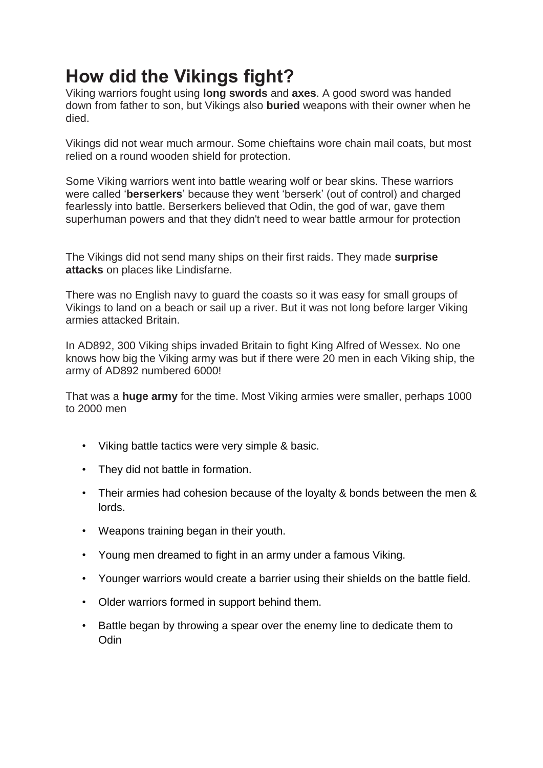# **How did the Vikings fight?**

Viking warriors fought using **long swords** and **axes**. A good sword was handed down from father to son, but Vikings also **buried** weapons with their owner when he died.

Vikings did not wear much armour. Some chieftains wore chain mail coats, but most relied on a round wooden shield for protection.

Some Viking warriors went into battle wearing wolf or bear skins. These warriors were called '**berserkers**' because they went 'berserk' (out of control) and charged fearlessly into battle. Berserkers believed that Odin, the god of war, gave them superhuman powers and that they didn't need to wear battle armour for protection

The Vikings did not send many ships on their first raids. They made **surprise attacks** on places like Lindisfarne.

There was no English navy to guard the coasts so it was easy for small groups of Vikings to land on a beach or sail up a river. But it was not long before larger Viking armies attacked Britain.

In AD892, 300 Viking ships invaded Britain to fight King Alfred of Wessex. No one knows how big the Viking army was but if there were 20 men in each Viking ship, the army of AD892 numbered 6000!

That was a **huge army** for the time. Most Viking armies were smaller, perhaps 1000 to 2000 men

- Viking battle tactics were very simple & basic.
- They did not battle in formation.
- Their armies had cohesion because of the loyalty & bonds between the men & lords.
- Weapons training began in their youth.
- Young men dreamed to fight in an army under a famous Viking.
- Younger warriors would create a barrier using their shields on the battle field.
- Older warriors formed in support behind them.
- Battle began by throwing a spear over the enemy line to dedicate them to **Odin**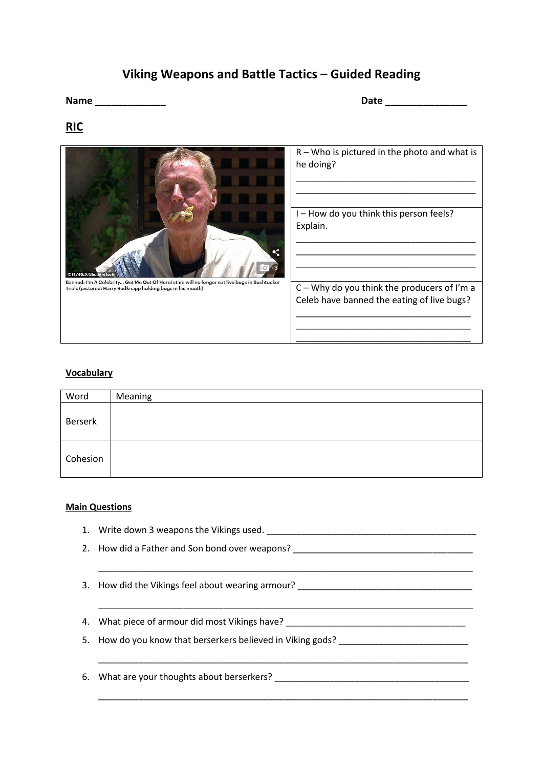## **Viking Weapons and Battle Tactics – Guided Reading**

**Name \_\_\_\_\_\_\_\_\_\_\_\_\_ Date \_\_\_\_\_\_\_\_\_\_\_\_\_\_\_**

### **RIC**



#### **Vocabulary**

| Word     | Meaning |
|----------|---------|
| Berserk  |         |
| Cohesion |         |

#### **Main Questions**

1. Write down 3 weapons the Vikings used. \_\_\_\_\_\_\_\_\_\_\_\_\_\_\_\_\_\_\_\_\_\_\_\_\_\_\_\_\_\_\_\_\_\_\_\_\_\_\_\_\_\_ 2. How did a Father and Son bond over weapons? \_\_\_\_\_\_\_\_\_\_\_\_\_\_\_\_\_\_\_\_\_\_\_\_\_\_\_\_\_\_\_\_\_ \_\_\_\_\_\_\_\_\_\_\_\_\_\_\_\_\_\_\_\_\_\_\_\_\_\_\_\_\_\_\_\_\_\_\_\_\_\_\_\_\_\_\_\_\_\_\_\_\_\_\_\_\_\_\_\_\_\_\_\_\_\_\_\_\_\_\_\_\_\_\_\_\_\_\_ 3. How did the Vikings feel about wearing armour? \_\_\_\_\_\_\_\_\_\_\_\_\_\_\_\_\_\_\_\_\_\_\_\_\_\_\_\_\_\_ \_\_\_\_\_\_\_\_\_\_\_\_\_\_\_\_\_\_\_\_\_\_\_\_\_\_\_\_\_\_\_\_\_\_\_\_\_\_\_\_\_\_\_\_\_\_\_\_\_\_\_\_\_\_\_\_\_\_\_\_\_\_\_\_\_\_\_\_\_\_\_\_\_\_\_ 4. What piece of armour did most Vikings have? \_\_\_\_\_\_\_\_\_\_\_\_\_\_\_\_\_\_\_\_\_\_\_\_\_\_\_\_\_\_\_\_\_ 5. How do you know that berserkers believed in Viking gods? \_\_\_\_\_\_\_\_\_\_\_\_\_\_\_\_\_\_\_\_ \_\_\_\_\_\_\_\_\_\_\_\_\_\_\_\_\_\_\_\_\_\_\_\_\_\_\_\_\_\_\_\_\_\_\_\_\_\_\_\_\_\_\_\_\_\_\_\_\_\_\_\_\_\_\_\_\_\_\_\_\_\_\_\_\_\_\_\_\_\_\_\_\_\_ 6. What are your thoughts about berserkers? \_\_\_\_\_\_\_\_\_\_\_\_\_\_\_\_\_\_\_\_\_\_\_\_\_\_\_\_\_\_\_\_\_\_\_\_\_\_\_ \_\_\_\_\_\_\_\_\_\_\_\_\_\_\_\_\_\_\_\_\_\_\_\_\_\_\_\_\_\_\_\_\_\_\_\_\_\_\_\_\_\_\_\_\_\_\_\_\_\_\_\_\_\_\_\_\_\_\_\_\_\_\_\_\_\_\_\_\_\_\_\_\_\_